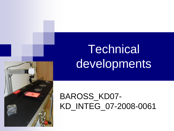# **Technical** developments



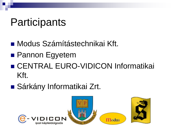# **Participants**

- Modus Számítástechnikai Kft.
- **Pannon Egyetem**
- CENTRAL EURO-VIDICON Informatikai Kft.
- Sárkány Informatikai Zrt.

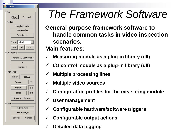|               | <b>TIMEA</b>              |  |         |        |  |  |  |
|---------------|---------------------------|--|---------|--------|--|--|--|
| Run           |                           |  |         |        |  |  |  |
|               | [Start]                   |  | Stopped |        |  |  |  |
|               | Module                    |  |         |        |  |  |  |
| Sample Module |                           |  |         |        |  |  |  |
|               | TimeaModule               |  |         |        |  |  |  |
|               |                           |  |         |        |  |  |  |
|               | Description               |  |         |        |  |  |  |
|               | Profile default           |  |         |        |  |  |  |
|               | Del<br>New.<br>Edit       |  |         |        |  |  |  |
| I/O Module    |                           |  |         |        |  |  |  |
|               | - Paralell IO Converter M |  |         |        |  |  |  |
|               | SD                        |  |         |        |  |  |  |
|               | Configure                 |  |         |        |  |  |  |
| Framework     |                           |  |         |        |  |  |  |
|               | Station<br>sta002         |  |         |        |  |  |  |
|               | Sources                   |  |         | 2/2    |  |  |  |
|               | Triggers                  |  |         | 2/2    |  |  |  |
|               | Lines                     |  |         | 2/2    |  |  |  |
|               | Rules and Actions         |  |         |        |  |  |  |
|               | User                      |  |         |        |  |  |  |
|               | <b>SUPERUSER</b>          |  |         |        |  |  |  |
|               | User manager              |  |         |        |  |  |  |
|               | Logout                    |  |         | Manage |  |  |  |
|               |                           |  |         |        |  |  |  |

# *The Framework Software*

- **General purpose framework software to handle common tasks in video inspection scenarios. Main features:**
- **Measuring module as a plug-in library (dll)**
- **I/O control module as a plug-in library (dll)**
- **Multiple processing lines**
- **Multiple video sources**
- **Configuration profiles for the measuring module**
- **User management**
- **Configurable hardware/software triggers**
- **Configurable output actions**
- **Detailed data logging**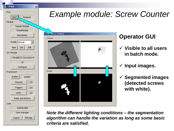| TIMEA                                                  | ×            |  |  |  |  |  |
|--------------------------------------------------------|--------------|--|--|--|--|--|
| Run                                                    |              |  |  |  |  |  |
| $\frac{1}{2}$ Start $\frac{1}{2}$<br>Stopped<br>Module |              |  |  |  |  |  |
| Sample Module                                          |              |  |  |  |  |  |
|                                                        | TimeaModule  |  |  |  |  |  |
|                                                        | Description  |  |  |  |  |  |
| Profile default                                        |              |  |  |  |  |  |
| Del<br>New.                                            | Edit         |  |  |  |  |  |
| I/O Module                                             |              |  |  |  |  |  |
| Paralell IO Converter M                                |              |  |  |  |  |  |
| sp                                                     |              |  |  |  |  |  |
| Configure                                              |              |  |  |  |  |  |
| Framework:                                             |              |  |  |  |  |  |
| Station                                                | sta002       |  |  |  |  |  |
| Sources                                                | 2/2          |  |  |  |  |  |
| Triggers                                               | 2/2          |  |  |  |  |  |
| Lines                                                  | 2/2          |  |  |  |  |  |
| Rules and Actions                                      |              |  |  |  |  |  |
| User                                                   |              |  |  |  |  |  |
| <b>SUPERUSER</b>                                       |              |  |  |  |  |  |
|                                                        | User manager |  |  |  |  |  |
| Logout                                                 | Manage       |  |  |  |  |  |
|                                                        |              |  |  |  |  |  |

#### *Example module: Screw Counter*



#### **Operator GUI**

- **Visible to all users in batch mode.**
- **Input images.**
- **Segmented images (detected screws with white).**

*Note the different lighting conditions – the segmentation algorithm can handle the variation as long as some basic criteria are satisfied.*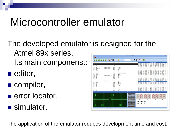## Microcontroller emulator

- The developed emulator is designed for the Atmel 89x series. 心々画 Its main componenst: 12FC 1 32FE E6 INTTOSTRNZ: A. GRO 02FF 75 FO 02 MOV  $B, #SOA$
- **editor,**
- compiler,
- **error locator,**
- simulator.



The application of the emulator reduces development time and cost.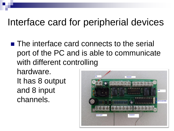#### Interface card for peripherial devices

■ The interface card connects to the serial port of the PC and is able to communicate with different controlling

hardware. It has 8 output and 8 input channels.

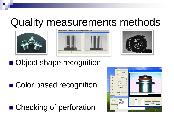## Quality measurements methods







■ Object shape recognition

■ Color based recognition

■ Checking of perforation

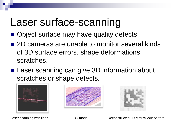### Laser surface-scanning

- Object surface may have quality defects.
- 2D cameras are unable to monitor several kinds of 3D surface errors, shape deformations, scratches.
- Laser scanning can give 3D information about scratches or shape defects.







Laser scanning with lines Theorem 3D model Reconstructed 2D MatrixCode pattern